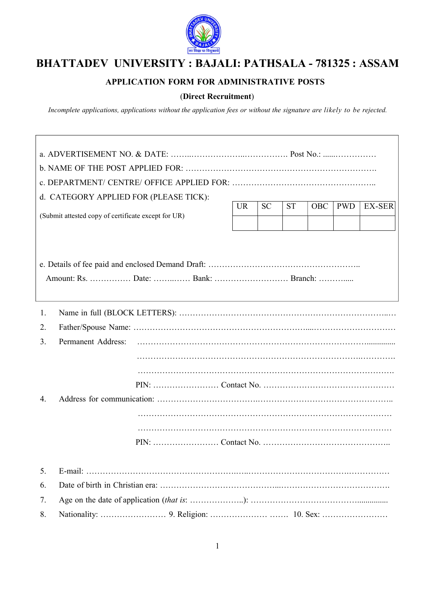

## BHATTADEV UNIVERSITY : BAJALI: PATHSALA - 781325 : ASSAM

## APPLICATION FORM FOR ADMINISTRATIVE POSTS

## (Direct Recruitment)

Incomplete applications, applications without the application fees or without the signature are likely to be rejected.

| d. CATEGORY APPLIED FOR (PLEASE TICK):                                                                                                  |
|-----------------------------------------------------------------------------------------------------------------------------------------|
| <b>UR</b><br><b>SC</b><br><b>ST</b><br><b>OBC</b><br><b>PWD</b><br><b>EX-SER</b><br>(Submit attested copy of certificate except for UR) |
|                                                                                                                                         |
|                                                                                                                                         |
| Amount: Rs.  Date:  Bank:  Branch:                                                                                                      |
|                                                                                                                                         |
| 1.                                                                                                                                      |
| 2.                                                                                                                                      |
| Permanent Address:<br>3.                                                                                                                |
|                                                                                                                                         |
|                                                                                                                                         |
|                                                                                                                                         |
|                                                                                                                                         |
| 4.                                                                                                                                      |
|                                                                                                                                         |
|                                                                                                                                         |
|                                                                                                                                         |
| 5.                                                                                                                                      |
| 6.                                                                                                                                      |
| 7.                                                                                                                                      |
| 8.                                                                                                                                      |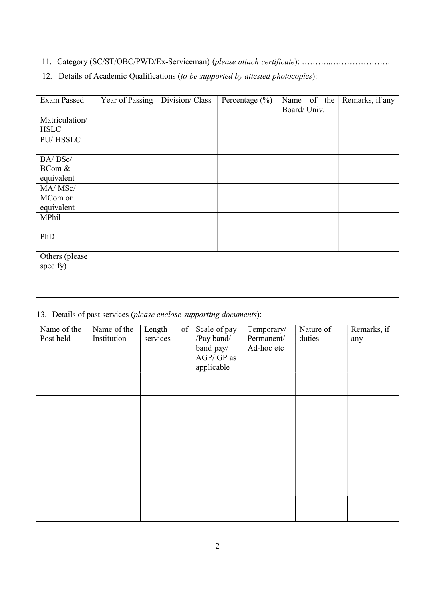11. Category (SC/ST/OBC/PWD/Ex-Serviceman) (please attach certificate): …………………………………

|  | 12. Details of Academic Qualifications (to be supported by attested photocopies): |  |  |  |  |  |  |  |  |  |
|--|-----------------------------------------------------------------------------------|--|--|--|--|--|--|--|--|--|
|--|-----------------------------------------------------------------------------------|--|--|--|--|--|--|--|--|--|

| Exam Passed    | Year of Passing | Division/Class | Percentage $(\% )$ | Name of the<br>Board/Univ. | Remarks, if any |
|----------------|-----------------|----------------|--------------------|----------------------------|-----------------|
| Matriculation/ |                 |                |                    |                            |                 |
| <b>HSLC</b>    |                 |                |                    |                            |                 |
| PU/HSSLC       |                 |                |                    |                            |                 |
|                |                 |                |                    |                            |                 |
| BA/BSc/        |                 |                |                    |                            |                 |
| BCom &         |                 |                |                    |                            |                 |
|                |                 |                |                    |                            |                 |
| equivalent     |                 |                |                    |                            |                 |
| MA/MSc/        |                 |                |                    |                            |                 |
| MCom or        |                 |                |                    |                            |                 |
| equivalent     |                 |                |                    |                            |                 |
| MPhil          |                 |                |                    |                            |                 |
|                |                 |                |                    |                            |                 |
| PhD            |                 |                |                    |                            |                 |
|                |                 |                |                    |                            |                 |
| Others (please |                 |                |                    |                            |                 |
| specify)       |                 |                |                    |                            |                 |
|                |                 |                |                    |                            |                 |
|                |                 |                |                    |                            |                 |
|                |                 |                |                    |                            |                 |

13. Details of past services (please enclose supporting documents):

| Name of the<br>Post held | Name of the<br>Institution | Length<br>services | of | Scale of pay<br>/Pay band/ $\,$<br>band pay/<br>$AGP/\,GP$ as<br>applicable | Temporary/<br>Permanent/<br>Ad-hoc etc | Nature of<br>duties | Remarks, if<br>any |
|--------------------------|----------------------------|--------------------|----|-----------------------------------------------------------------------------|----------------------------------------|---------------------|--------------------|
|                          |                            |                    |    |                                                                             |                                        |                     |                    |
|                          |                            |                    |    |                                                                             |                                        |                     |                    |
|                          |                            |                    |    |                                                                             |                                        |                     |                    |
|                          |                            |                    |    |                                                                             |                                        |                     |                    |
|                          |                            |                    |    |                                                                             |                                        |                     |                    |
|                          |                            |                    |    |                                                                             |                                        |                     |                    |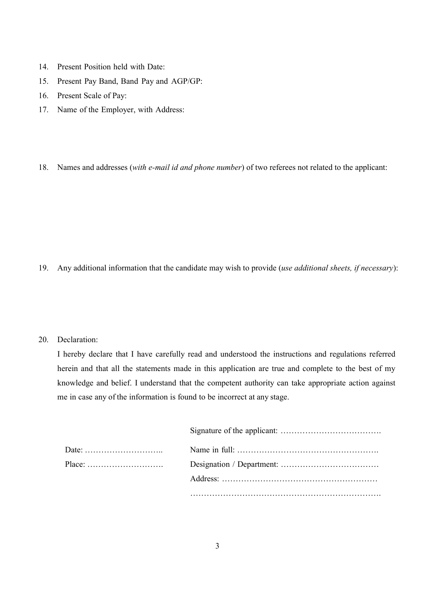- 14. Present Position held with Date:
- 15. Present Pay Band, Band Pay and AGP/GP:
- 16. Present Scale of Pay:
- 17. Name of the Employer, with Address:

18. Names and addresses (with e-mail id and phone number) of two referees not related to the applicant:

19. Any additional information that the candidate may wish to provide (use additional sheets, if necessary):

## 20. Declaration:

I hereby declare that I have carefully read and understood the instructions and regulations referred herein and that all the statements made in this application are true and complete to the best of my knowledge and belief. I understand that the competent authority can take appropriate action against me in case any of the information is found to be incorrect at any stage.

| Place: |  |
|--------|--|
|        |  |
|        |  |